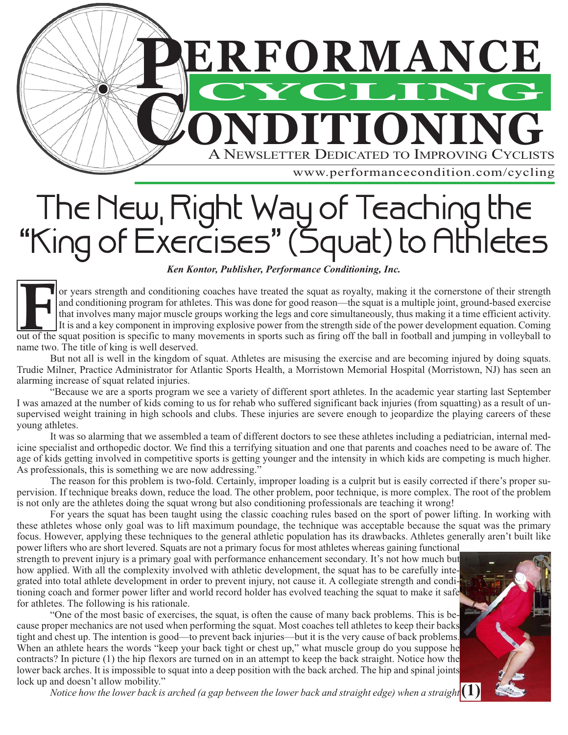

# The New York Way of Exercises" (Squat) to Athlete  $Ken Kontor, Publisher, Performance Conditioning, Inc.$

### *Ken Kontor, Publisher, Performance Conditioning, Inc.*

or years strength and conditioning coaches have treated the squat as royalty, making it the cornerstone of their strength and conditioning program for athletes. This was done for good reason—the squat is a multiple joint, ground-based exercise that involves many major muscle groups working the legs and core simultaneously, thus making it a time efficient activity. It is and a key component in improving explosive power from the strength side of the power development equation. Coming out of the squat position is specific to many movements in sports such as firing off the ball in football and jumping in volleyball to name two. The title of king is well deserved. **F**

But not all is well in the kingdom of squat. Athletes are misusing the exercise and are becoming injured by doing squats. Trudie Milner, Practice Administrator for Atlantic Sports Health, a Morristown Memorial Hospital (Morristown, NJ) has seen an alarming increase of squat related injuries.

"Because we are a sports program we see a variety of different sport athletes. In the academic year starting last September I was amazed at the number of kids coming to us for rehab who suffered significant back injuries (from squatting) as a result of unsupervised weight training in high schools and clubs. These injuries are severe enough to jeopardize the playing careers of these young athletes.

It was so alarming that we assembled a team of different doctors to see these athletes including a pediatrician, internal medicine specialist and orthopedic doctor. We find this a terrifying situation and one that parents and coaches need to be aware of. The age of kids getting involved in competitive sports is getting younger and the intensity in which kids are competing is much higher. As professionals, this is something we are now addressing."

The reason for this problem is two-fold. Certainly, improper loading is a culprit but is easily corrected if there's proper supervision. If technique breaks down, reduce the load. The other problem, poor technique, is more complex. The root of the problem is not only are the athletes doing the squat wrong but also conditioning professionals are teaching it wrong!

For years the squat has been taught using the classic coaching rules based on the sport of power lifting. In working with these athletes whose only goal was to lift maximum poundage, the technique was acceptable because the squat was the primary focus. However, applying these techniques to the general athletic population has its drawbacks. Athletes generally aren't built like power lifters who are short levered. Squats are not a primary focus for most athletes whereas gaining functional

strength to prevent injury is a primary goal with performance enhancement secondary. It's not how much but how applied. With all the complexity involved with athletic development, the squat has to be carefully integrated into total athlete development in order to prevent injury, not cause it. A collegiate strength and conditioning coach and former power lifter and world record holder has evolved teaching the squat to make it safe for athletes. The following is his rationale.

"One of the most basic of exercises, the squat, is often the cause of many back problems. This is because proper mechanics are not used when performing the squat. Most coaches tell athletes to keep their backs tight and chest up. The intention is good—to prevent back injuries—but it is the very cause of back problems. When an athlete hears the words "keep your back tight or chest up," what muscle group do you suppose he contracts? In picture (1) the hip flexors are turned on in an attempt to keep the back straight. Notice how the lower back arches. It is impossible to squat into a deep position with the back arched. The hip and spinal joints lock up and doesn't allow mobility."

*Notice how the lower back is arched (a gap between the lower back and straight edge) when a straight* **(1)**

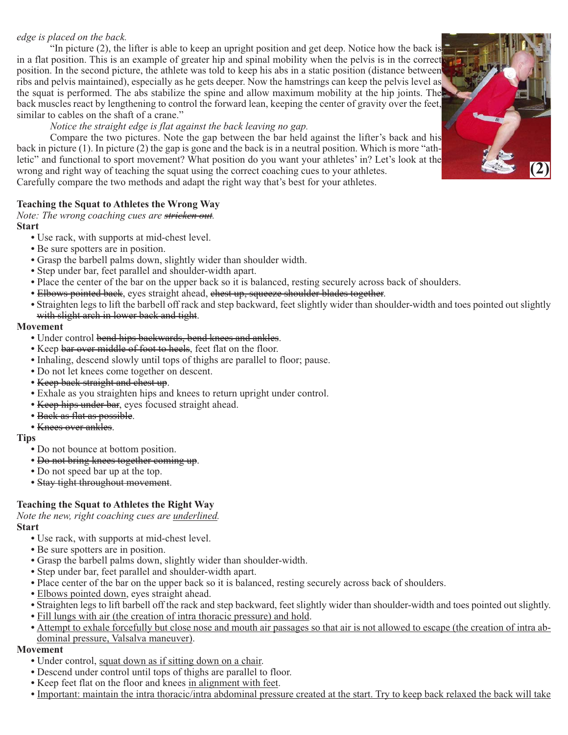## *edge is placed on the back.*

"In picture (2), the lifter is able to keep an upright position and get deep. Notice how the back is in a flat position. This is an example of greater hip and spinal mobility when the pelvis is in the correct position. In the second picture, the athlete was told to keep his abs in a static position (distance between ribs and pelvis maintained), especially as he gets deeper. Now the hamstrings can keep the pelvis level as the squat is performed. The abs stabilize the spine and allow maximum mobility at the hip joints. The back muscles react by lengthening to control the forward lean, keeping the center of gravity over the feet, similar to cables on the shaft of a crane."

## *Notice the straight edge is flat against the back leaving no gap.*

Compare the two pictures. Note the gap between the bar held against the lifter's back and his back in picture (1). In picture (2) the gap is gone and the back is in a neutral position. Which is more "athletic" and functional to sport movement? What position do you want your athletes' in? Let's look at the wrong and right way of teaching the squat using the correct coaching cues to your athletes. Carefully compare the two methods and adapt the right way that's best for your athletes.

# **Teaching the Squat to Athletes the Wrong Way**

*Note: The wrong coaching cues are stricken out.*

#### **Start**

- Use rack, with supports at mid-chest level.
- Be sure spotters are in position.
- Grasp the barbell palms down, slightly wider than shoulder width.
- Step under bar, feet parallel and shoulder-width apart.
- Place the center of the bar on the upper back so it is balanced, resting securely across back of shoulders.
- Elbows pointed back, eyes straight ahead, chest up, squeeze shoulder blades together.
- Straighten legs to lift the barbell off rack and step backward, feet slightly wider than shoulder-width and toes pointed out slightly with slight arch in lower back and tight.

#### **Movement**

- Under control bend hips backwards, bend knees and ankles.
- Keep bar over middle of foot to heels, feet flat on the floor.
- Inhaling, descend slowly until tops of thighs are parallel to floor; pause.
- Do not let knees come together on descent.
- Keep back straight and chest up.
- Exhale as you straighten hips and knees to return upright under control.
- Keep hips under bar, eyes focused straight ahead.
- Back as flat as possible.
- Knees over ankles.

#### **Tips**

- Do not bounce at bottom position.
- Do not bring knees together coming up.
- Do not speed bar up at the top.
- Stay tight throughout movement.

# **Teaching the Squat to Athletes the Right Way**

*Note the new, right coaching cues are underlined.*

#### **Start**

- Use rack, with supports at mid-chest level.
- Be sure spotters are in position.
- Grasp the barbell palms down, slightly wider than shoulder-width.
- Step under bar, feet parallel and shoulder-width apart.
- Place center of the bar on the upper back so it is balanced, resting securely across back of shoulders.
- Elbows pointed down, eyes straight ahead.
- Straighten legs to lift barbell off the rack and step backward, feet slightly wider than shoulder-width and toes pointed out slightly.
- Fill lungs with air (the creation of intra thoracic pressure) and hold.
- Attempt to exhale forcefully but close nose and mouth air passages so that air is not allowed to escape (the creation of intra abdominal pressure, Valsalva maneuver).

#### **Movement**

- Under control, squat down as if sitting down on a chair.
- Descend under control until tops of thighs are parallel to floor.
- Keep feet flat on the floor and knees in alignment with feet.
- Important: maintain the intra thoracic/intra abdominal pressure created at the start. Try to keep back relaxed the back will take